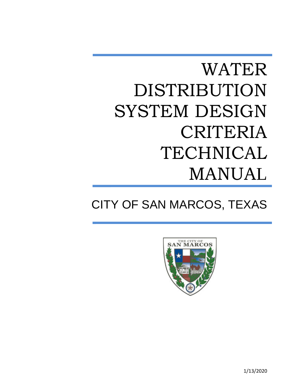# WATER DISTRIBUTION SYSTEM DESIGN CRITERIA TECHNICAL MANUAL

# CITY OF SAN MARCOS, TEXAS



1/13/2020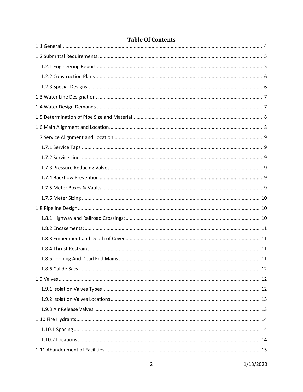# **Table Of Contents**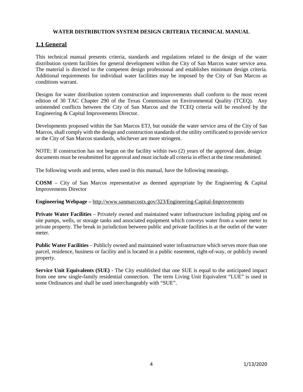#### **WATER DISTRIBUTION SYSTEM DESIGN CRITERIA TECHNICAL MANUAL**

## <span id="page-4-0"></span>**1.1 General**

This technical manual presents criteria, standards and regulations related to the design of the water distribution system facilities for general development within the City of San Marcos water service area. The material is directed to the competent design professional and establishes minimum design criteria. Additional requirements for individual water facilities may be imposed by the City of San Marcos as conditions warrant.

Designs for water distribution system construction and improvements shall conform to the most recent edition of 30 TAC Chapter 290 of the Texas Commission on Environmental Quality (TCEQ). Any unintended conflicts between the City of San Marcos and the TCEQ criteria will be resolved by the Engineering & Capital Improvements Director.

Developments proposed within the San Marcos ETJ, but outside the water service area of the City of San Marcos, shall comply with the design and construction standards of the utility certificated to provide service or the City of San Marcos standards, whichever are more stringent.

NOTE: If construction has not begun on the facility within two (2) years of the approval date, design documents must be resubmitted for approval and must include all criteria in effect at the time resubmitted.

The following words and terms, when used in this manual, have the following meanings.

**COSM** – City of San Marcos representative as deemed appropriate by the Engineering & Capital Improvements Director

#### **Engineering Webpage –** <http://www.sanmarcostx.gov/323/Engineering-Capital-Improvements>

**Private Water Facilities** – Privately owned and maintained water infrastructure including piping and on site pumps, wells, or storage tanks and associated equipment which conveys water from a water meter to private property. The break in jurisdiction between public and private facilities is at the outlet of the water meter.

**Public Water Facilities** – Publicly owned and maintained water infrastructure which serves more than one parcel, residence, business or facility and is located in a public easement, right-of-way, or publicly owned property.

**Service Unit Equivalents (SUE)** - The City established that one SUE is equal to the anticipated impact from one new single-family residential connection. The term Living Unit Equivalent "LUE" is used in some Ordinances and shall be used interchangeably with "SUE".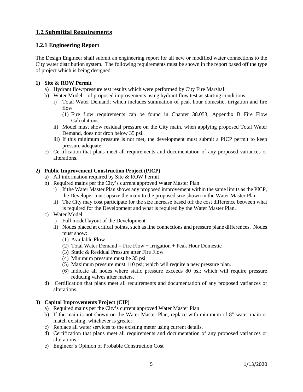# <span id="page-5-0"></span>**1.2 Submittal Requirements**

#### <span id="page-5-1"></span>**1.2.1 Engineering Report**

The Design Engineer shall submit an engineering report for all new or modified water connections to the City water distribution system. The following requirements must be shown in the report based off the type of project which is being designed:

#### **1) Site & ROW Permit**

- a) Hydrant flow/pressure test results which were performed by City Fire Marshall
- b) Water Model of proposed improvements using hydrant flow test as starting conditions.
	- i) Total Water Demand; which includes summation of peak hour domestic, irrigation and fire flow
		- (1) Fire flow requirements can be found in Chapter 38.053, Appendix B Fire Flow Calculations.
	- ii) Model must show residual pressure on the City main, when applying proposed Total Water Demand, does not drop below 35 psi.
	- iii) If this minimum pressure is not met, the development must submit a PICP permit to keep pressure adequate.
- c) Certification that plans meet all requirements and documentation of any proposed variances or alterations.

#### **2) Public Improvement Construction Project (PICP)**

- a) All information required by Site & ROW Permit
- b) Required mains per the City's current approved Water Master Plan
	- i) If the Water Master Plan shows any proposed improvement within the same limits as the PICP, the Developer must upsize the main to the proposed size shown in the Water Master Plan.
	- ii) The City may cost participate for the size increase based off the cost difference between what is required for the Development and what is required by the Water Master Plan.
- c) Water Model
	- i) Full model layout of the Development
	- ii) Nodes placed at critical points, such as line connections and pressure plane differences. Nodes must show:
		- (1) Available Flow
		- (2) Total Water Demand = Fire  $Flow + Irrigation + Peak$  Hour Domestic
		- (3) Static & Residual Pressure after Fire Flow
		- (4) Minimum pressure must be 35 psi
		- (5) Maximum pressure must 110 psi; which will require a new pressure plan.
		- (6) Indicate all nodes where static pressure exceeds 80 psi; which will require pressure reducing valves after meters.
- d) Certification that plans meet all requirements and documentation of any proposed variances or alterations.

#### **3) Capital Improvements Project (CIP)**

- a) Required mains per the City's current approved Water Master Plan
- b) If the main is not shown on the Water Master Plan, replace with minimum of 8" water main or match existing; whichever is greater.
- c) Replace all water services to the existing meter using current details.
- d) Certification that plans meet all requirements and documentation of any proposed variances or alterations
- e) Engineer's Opinion of Probable Construction Cost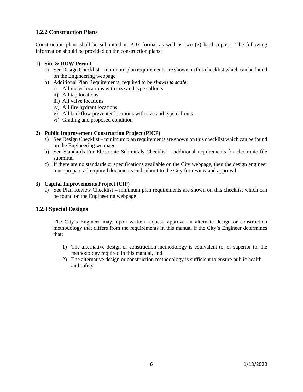## <span id="page-6-0"></span>**1.2.2 Construction Plans**

Construction plans shall be submitted in PDF format as well as two (2) hard copies. The following information should be provided on the construction plans:

#### **1) Site & ROW Permit**

- a) See Design Checklist minimum plan requirements are shown on this checklist which can be found on the Engineering webpage
- b) Additional Plan Requirements, required to be *shown to scale*:
	- i) All meter locations with size and type callouts
	- ii) All tap locations
	- iii) All valve locations
	- iv) All fire hydrant locations
	- v) All backflow preventer locations with size and type callouts
	- vi) Grading and proposed condition

#### **2) Public Improvement Construction Project (PICP)**

- a) See Design Checklist minimum plan requirements are shown on this checklist which can be found on the Engineering webpage
- b) See Standards For Electronic Submittals Checklist additional requirements for electronic file submittal
- c) If there are no standards or specifications available on the City webpage, then the design engineer must prepare all required documents and submit to the City for review and approval

#### **3) Capital Improvements Project (CIP)**

a) See Plan Review Checklist – minimum plan requirements are shown on this checklist which can be found on the Engineering webpage

## <span id="page-6-1"></span>**1.2.3 Special Designs**

The City's Engineer may, upon written request, approve an alternate design or construction methodology that differs from the requirements in this manual if the City's Engineer determines that:

- 1) The alternative design or construction methodology is equivalent to, or superior to, the methodology required in this manual, and
- 2) The alternative design or construction methodology is sufficient to ensure public health and safety.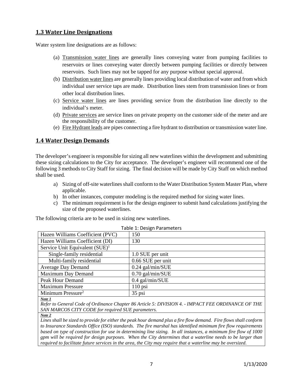## <span id="page-7-0"></span>**1.3 Water Line Designations**

Water system line designations are as follows:

- (a) Transmission water lines are generally lines conveying water from pumping facilities to reservoirs or lines conveying water directly between pumping facilities or directly between reservoirs. Such lines may not be tapped for any purpose without special approval.
- (b) Distribution water lines are generally lines providing local distribution of water and from which individual user service taps are made. Distribution lines stem from transmission lines or from other local distribution lines.
- (c) Service water lines are lines providing service from the distribution line directly to the individual's meter.
- (d) Private services are service lines on private property on the customer side of the meter and are the responsibility of the customer.
- (e) Fire Hydrant leads are pipes connecting a fire hydrant to distribution or transmission water line.

# <span id="page-7-1"></span>**1.4 Water Design Demands**

The developer's engineer is responsible for sizing all new waterlines within the development and submitting these sizing calculations to the City for acceptance. The developer's engineer will recommend one of the following 3 methods to City Staff for sizing. The final decision will be made by City Staff on which method shall be used.

- a) Sizing of off-site waterlines shall conform to the Water Distribution System Master Plan, where applicable.
- b) In other instances, computer modeling is the required method for sizing water lines.
- c) The minimum requirement is for the design engineer to submit hand calculations justifying the size of the proposed waterlines.

The following criteria are to be used in sizing new waterlines.

| TAME I. DESIKIT FATAMELETS        |                    |  |  |  |  |
|-----------------------------------|--------------------|--|--|--|--|
| Hazen Williams Coefficient (PVC)  | 150                |  |  |  |  |
| Hazen Williams Coefficient (DI)   | 130                |  |  |  |  |
| Service Unit Equivalent $(SUE)^1$ |                    |  |  |  |  |
| Single-family residential         | 1.0 SUE per unit   |  |  |  |  |
| Multi-family residential          | 0.66 SUE per unit  |  |  |  |  |
| <b>Average Day Demand</b>         | $0.24$ gal/min/SUE |  |  |  |  |
| Maximum Day Demand                | $0.70$ gal/min/SUE |  |  |  |  |
| Peak Hour Demand                  | 0.4 gal/min/SUE    |  |  |  |  |
| <b>Maximum Pressure</b>           | $110$ psi          |  |  |  |  |
| Minimum Pressure <sup>2</sup>     | $35$ psi           |  |  |  |  |
| Note 1                            |                    |  |  |  |  |

*Refer to General Code of Ordinance Chapter 86 Article 5: DIVISION 4. - IMPACT FEE ORDINANCE OF THE SAN MARCOS CITY CODE for required SUE parameters.*

*Note 2*

*Lines shall be sized to provide for either the peak hour demand plus a fire flow demand. Fire flows shall conform to Insurance Standards Office (ISO) standards. The fire marshal has identified minimum fire flow requirements based on type of construction for use in determining line sizing. In all instances, a minimum fire flow of 1000 gpm will be required for design purposes. When the City determines that a waterline needs to be larger than required to facilitate future services in the area, the City may require that a waterline may be oversized.*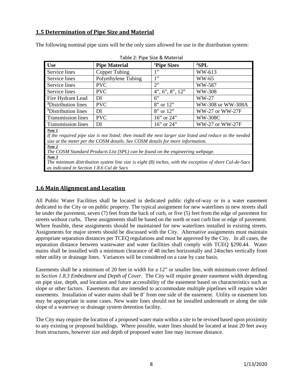# <span id="page-8-0"></span>**1.5 Determination of Pipe Size and Material**

The following nominal pipe sizes will be the only sizes allowed for use in the distribution system:

<span id="page-8-2"></span>

| <b>Use</b>                                                                                                 | <b>Pipe Material</b> | <sup>1</sup> Pipe Sizes | ${}^{2}SPL$       |  |  |
|------------------------------------------------------------------------------------------------------------|----------------------|-------------------------|-------------------|--|--|
| Service lines                                                                                              | Copper Tubing        | 1"                      | WW-613            |  |  |
| Service lines                                                                                              | Polyethylene Tubing  | 1"                      | <b>WW-65</b>      |  |  |
| Service lines                                                                                              | <b>PVC</b>           | 2                       | WW-587            |  |  |
| Service lines                                                                                              | <b>PVC</b>           | $4$ ", 6", 8", 12"      | WW-308            |  |  |
| Fire Hydrant Lead                                                                                          | DI                   | $6$ "                   | $WW-27$           |  |  |
| <sup>3</sup> Distribution lines                                                                            | <b>PVC</b>           | $8"$ or $12"$           | WW-308 or WW-308A |  |  |
| <sup>3</sup> Distribution lines                                                                            | DI                   | $8"$ or $12"$           | WW-27 or WW-27F   |  |  |
| <b>Transmission lines</b>                                                                                  | <b>PVC</b>           | $16$ " or $24$ "        | <b>WW-308C</b>    |  |  |
| <b>Transmission lines</b>                                                                                  | DI                   | $16$ " or $24$ "        | WW-27 or WW-27F   |  |  |
| Note 1                                                                                                     |                      |                         |                   |  |  |
| If the required pipe size is not listed; then install the next larger size listed and reduce to the needed |                      |                         |                   |  |  |
| size at the meter per the COSM details. See COSM details for more information.                             |                      |                         |                   |  |  |
| Note 2                                                                                                     |                      |                         |                   |  |  |

Table 2: Pipe Size & Material

*The COSM Standard Products List (SPL) can be found on the engineering webpage.*

*Note 3*

*The minimum distribution system line size is eight (8) inches, with the exception of short Cul-de-Sacs as indicated in Sectio[n 1.8.6 Cul de Sacs](#page-12-0)*

# <span id="page-8-1"></span>**1.6 Main Alignment and Location**

All Public Water Facilities shall be located in dedicated public right-of-way or in a water easement dedicated to the City or on public property. The typical assignment for new waterlines in new streets shall be under the pavement, seven (7) feet from the back of curb, or five (5) feet from the edge of pavement for streets without curbs. These assignments shall be based on the north or east curb line or edge of pavement. Where feasible, these assignments should be maintained for new waterlines installed in existing streets. Assignments for major streets should be discussed with the City. Alternative assignments must maintain appropriate separation distances per TCEQ regulations and must be approved by the City. In all cases, the separation distance between wastewater and water facilities shall comply with TCEQ §290.44. Water mains shall be installed with a minimum clearance of 48 inches horizontally and 24inches vertically from other utility or drainage lines. Variances will be considered on a case by case basis.

Easements shall be a minimum of 20 feet in width for a 12" or smaller line, with minimum cover defined in *Section [1.8.3 Embedment and Depth of Cover](#page-11-1)*. The City will require greater easement width depending on pipe size, depth, and location and future accessibility of the easement based on characteristics such as slope or other factors. Easements that are intended to accommodate multiple pipelines will require wider easements. Installation of water mains shall be 8' from one side of the easement. Utility or easement lots may be appropriate in some cases. New water lines should not be installed underneath or along the side slope of a waterway or drainage system detention facility.

The City may require the location of a proposed water main within a site to be revised based upon proximity to any existing or proposed buildings. Where possible, water lines should be located at least 20 feet away from structures, however size and depth of proposed water line may increase distance.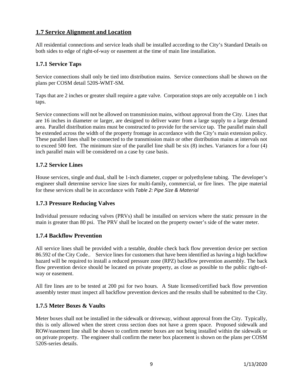# <span id="page-9-0"></span>**1.7 Service Alignment and Location**

All residential connections and service leads shall be installed according to the City's Standard Details on both sides to edge of right-of-way or easement at the time of main line installation.

#### <span id="page-9-1"></span>**1.7.1 Service Taps**

Service connections shall only be tied into distribution mains. Service connections shall be shown on the plans per COSM detail 520S-WMT-SM.

Taps that are 2 inches or greater shall require a gate valve. Corporation stops are only acceptable on 1 inch taps.

Service connections will not be allowed on transmission mains, without approval from the City. Lines that are 16 inches in diameter or larger, are designed to deliver water from a large supply to a large demand area. Parallel distribution mains must be constructed to provide for the service tap. The parallel main shall be extended across the width of the property frontage in accordance with the City's main extension policy. These parallel lines shall be connected to the transmission main or other distribution mains at intervals not to exceed 500 feet. The minimum size of the parallel line shall be six (8) inches. Variances for a four (4) inch parallel main will be considered on a case by case basis.

## <span id="page-9-2"></span>**1.7.2 Service Lines**

House services, single and dual, shall be 1-inch diameter, copper or polyethylene tubing. The developer's engineer shall determine service line sizes for multi-family, commercial, or fire lines. The pipe material for these services shall be in accordance with *[Table 2: Pipe Size](#page-8-2) & Material*

#### <span id="page-9-3"></span>**1.7.3 Pressure Reducing Valves**

Individual pressure reducing valves (PRVs) shall be installed on services where the static pressure in the main is greater than 80 psi. The PRV shall be located on the property owner's side of the water meter.

## <span id="page-9-4"></span>**1.7.4 Backflow Prevention**

All service lines shall be provided with a testable, double check back flow prevention device per section 86.592 of the City Code.. Service lines for customers that have been identified as having a high backflow hazard will be required to install a reduced pressure zone (RPZ) backflow prevention assembly. The back flow prevention device should be located on private property, as close as possible to the public right-ofway or easement.

All fire lines are to be tested at 200 psi for two hours. A State licensed/certified back flow prevention assembly tester must inspect all backflow prevention devices and the results shall be submitted to the City.

#### <span id="page-9-5"></span>**1.7.5 Meter Boxes & Vaults**

Meter boxes shall not be installed in the sidewalk or driveway, without approval from the City. Typically, this is only allowed when the street cross section does not have a green space. Proposed sidewalk and ROW/easement line shall be shown to confirm meter boxes are not being installed within the sidewalk or on private property. The engineer shall confirm the meter box placement is shown on the plans per COSM 520S-series details.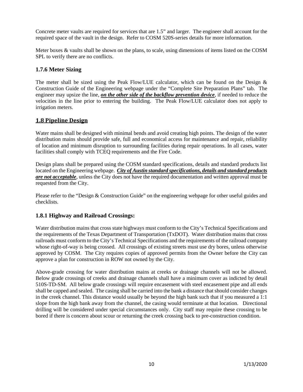Concrete meter vaults are required for services that are 1.5" and larger. The engineer shall account for the required space of the vault in the design. Refer to COSM 520S-series details for more information.

Meter boxes & vaults shall be shown on the plans, to scale, using dimensions of items listed on the COSM SPL to verify there are no conflicts.

# <span id="page-10-0"></span>**1.7.6 Meter Sizing**

The meter shall be sized using the Peak Flow/LUE calculator, which can be found on the Design  $\&$ Construction Guide of the Engineering webpage under the "Complete Site Preparation Plans" tab. The engineer may upsize the line, *on the other side of the backflow prevention device*, if needed to reduce the velocities in the line prior to entering the building. The Peak Flow/LUE calculator does not apply to irrigation meters.

# <span id="page-10-1"></span>**1.8 Pipeline Design**

Water mains shall be designed with minimal bends and avoid creating high points. The design of the water distribution mains should provide safe, full and economical access for maintenance and repair, reliability of location and minimum disruption to surrounding facilities during repair operations. In all cases, water facilities shall comply with TCEQ requirements and the Fire Code.

Design plans shall be prepared using the COSM standard specifications, details and standard products list located on the Engineering webpage. *City of Austin standard specifications, details and standard products are not acceptable*, unless the City does not have the required documentation and written approval must be requested from the City.

Please refer to the "Design & Construction Guide" on the engineering webpage for other useful guides and checklists.

## <span id="page-10-2"></span>**1.8.1 Highway and Railroad Crossings:**

Water distribution mains that cross state highways must conform to the City's Technical Specifications and the requirements of the Texas Department of Transportation (TxDOT). Water distribution mains that cross railroads must conform to the City's Technical Specifications and the requirements of the railroad company whose right-of-way is being crossed. All crossings of existing streets must use dry bores, unless otherwise approved by COSM. The City requires copies of approved permits from the Owner before the City can approve a plan for construction in ROW not owned by the City.

Above-grade crossing for water distribution mains at creeks or drainage channels will not be allowed. Below grade crossings of creeks and drainage channels shall have a minimum cover as indicted by detail 510S-TD-SM. All below grade crossings will require encasement with steel encasement pipe and all ends shall be capped and sealed. The casing shall be carried into the bank a distance that should consider changes in the creek channel. This distance would usually be beyond the high bank such that if you measured a 1:1 slope from the high bank away from the channel, the casing would terminate at that location. Directional drilling will be considered under special circumstances only. City staff may require these crossing to be bored if there is concern about scour or returning the creek crossing back to pre-construction condition.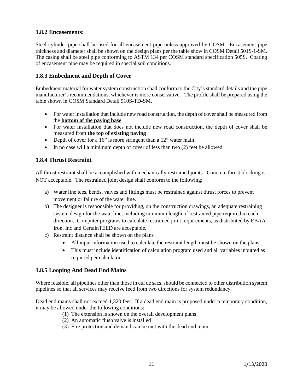# <span id="page-11-0"></span>**1.8.2 Encasements:**

Steel cylinder pipe shall be used for all encasement pipe unless approved by COSM. Encasement pipe thickness and diameter shall be shown on the design plans per the table show in COSM Detail 501S-1-SM. The casing shall be steel pipe conforming to ASTM 134 per COSM standard specification 505S. Coating of encasement pipe may be required in special soil conditions.

# <span id="page-11-1"></span>**1.8.3 Embedment and Depth of Cover**

Embedment material for water system construction shall conform to the City's standard details and the pipe manufacturer's recommendations, whichever is more conservative. The profile shall be prepared using the table shown in COSM Standard Detail 510S-TD-SM.

- For water installation that include new road construction, the depth of cover shall be measured from the **bottom of the paving base**
- For water installation that does not include new road construction, the depth of cover shall be measured from **the top of existing paving**
- Depth of cover for a 16" is more stringent than a 12" water main
- In no case will a minimum depth of cover of less than two (2) feet be allowed

# <span id="page-11-2"></span>**1.8.4 Thrust Restraint**

All thrust restraint shall be accomplished with mechanically restrained joints. Concrete thrust blocking is NOT acceptable. The restrained joint design shall conform to the following:

- a) Water line tees, bends, valves and fittings must be restrained against thrust forces to prevent movement or failure of the water line.
- b) The designer is responsible for providing, on the construction drawings, an adequate restraining system design for the waterline, including minimum length of restrained pipe required in each direction. Computer programs to calculate restrained joint requirements, as distributed by EBAA Iron, Inc and CertainTEED are acceptable.
- c) Restraint distance shall be shown on the plans
	- All input information used to calculate the restraint length must be shown on the plans.
	- This must include identification of calculation program used and all variables inputted as required per calculator.

## <span id="page-11-3"></span>**1.8.5 Looping And Dead End Mains**

Where feasible, all pipelines other than those in cul de sacs, should be connected to other distribution system pipelines so that all services may receive feed from two directions for system redundancy.

Dead end mains shall not exceed 1,320 feet. If a dead end main is proposed under a temporary condition, it may be allowed under the following conditions:

- (1) The extension is shown on the overall development plans
- (2) An automatic flush valve is installed
- (3) Fire protection and demand can be met with the dead end main.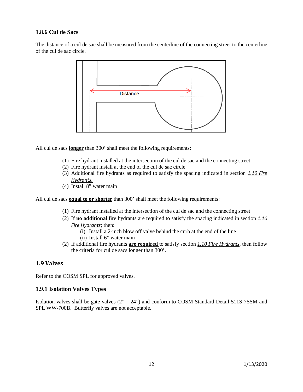# <span id="page-12-0"></span>**1.8.6 Cul de Sacs**

The distance of a cul de sac shall be measured from the centerline of the connecting street to the centerline of the cul de sac circle.



All cul de sacs **longer** than 300' shall meet the following requirements:

- (1) Fire hydrant installed at the intersection of the cul de sac and the connecting street
- (2) Fire hydrant install at the end of the cul de sac circle
- (3) Additional fire hydrants as required to satisfy the spacing indicated in section *[1.10 Fire](#page-14-0)  [Hydrants](#page-14-0).*
- (4) Install 8" water main

All cul de sacs **equal to or shorter** than 300' shall meet the following requirements:

- (1) Fire hydrant installed at the intersection of the cul de sac and the connecting street
- (2) If **no additional** fire hydrants are required to satisfy the spacing indicated in section *[1.10](#page-14-0)  [Fire Hydrants](#page-14-0)*; then:
	- (i) Install a 2-inch blow off valve behind the curb at the end of the line (ii) Install 6" water main
- (2) If additional fire hydrants **are required** to satisfy section *1.10 Fire Hydrants*, then follow the criteria for cul de sacs longer than 300'.

#### <span id="page-12-1"></span>**1.9 Valves**

Refer to the COSM SPL for approved valves.

#### <span id="page-12-2"></span>**1.9.1 Isolation Valves Types**

Isolation valves shall be gate valves (2" – 24") and conform to COSM Standard Detail 511S-7SSM and SPL WW-700B. Butterfly valves are not acceptable.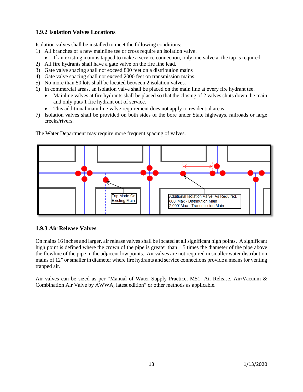# <span id="page-13-0"></span>**1.9.2 Isolation Valves Locations**

Isolation valves shall be installed to meet the following conditions:

- 1) All branches of a new mainline tee or cross require an isolation valve.
	- If an existing main is tapped to make a service connection, only one valve at the tap is required.
- 2) All fire hydrants shall have a gate valve on the fire line lead.
- 3) Gate valve spacing shall not exceed 800 feet on a distribution mains
- 4) Gate valve spacing shall not exceed 2000 feet on transmission mains.
- 5) No more than 50 lots shall be located between 2 isolation valves.
- 6) In commercial areas, an isolation valve shall be placed on the main line at every fire hydrant tee.
	- Mainline valves at fire hydrants shall be placed so that the closing of 2 valves shuts down the main and only puts 1 fire hydrant out of service.
	- This additional main line valve requirement does not apply to residential areas.
- 7) Isolation valves shall be provided on both sides of the bore under State highways, railroads or large creeks/rivers.



The Water Department may require more frequent spacing of valves.

# <span id="page-13-1"></span>**1.9.3 Air Release Valves**

On mains 16 inches and larger, air release valves shall be located at all significant high points. A significant high point is defined where the crown of the pipe is greater than 1.5 times the diameter of the pipe above the flowline of the pipe in the adjacent low points. Air valves are not required in smaller water distribution mains of 12" or smaller in diameter where fire hydrants and service connections provide a means for venting trapped air.

Air valves can be sized as per "Manual of Water Supply Practice, M51: Air-Release, Air/Vacuum & Combination Air Valve by AWWA, latest edition" or other methods as applicable.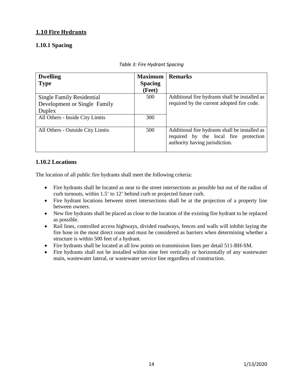# <span id="page-14-0"></span>**1.10 Fire Hydrants**

# <span id="page-14-1"></span>**1.10.1 Spacing**

| <b>Dwelling</b>                  | <b>Maximum</b> | <b>Remarks</b>                                 |
|----------------------------------|----------------|------------------------------------------------|
| <b>Type</b>                      | <b>Spacing</b> |                                                |
|                                  | (Feet)         |                                                |
| <b>Single Family Residential</b> | 500            | Additional fire hydrants shall be installed as |
| Development or Single Family     |                | required by the current adopted fire code.     |
| Duplex                           |                |                                                |
| All Others - Inside City Limits  | 300            |                                                |
|                                  |                |                                                |
| All Others - Outside City Limits | 500            | Additional fire hydrants shall be installed as |
|                                  |                | required by the local fire protection          |
|                                  |                | authority having jurisdiction.                 |
|                                  |                |                                                |

|  | Table 3: Fire Hydrant Spacing |  |
|--|-------------------------------|--|
|  |                               |  |

# <span id="page-14-2"></span>**1.10.2 Locations**

The location of all public fire hydrants shall meet the following criteria:

- Fire hydrants shall be located as near to the street intersections as possible but out of the radius of curb turnouts, within 1.5' to 12' behind curb or projected future curb.
- Fire hydrant locations between street intersections shall be at the projection of a property line between owners.
- New fire hydrants shall be placed as close to the location of the existing fire hydrant to be replaced as possible.
- Rail lines, controlled access highways, divided roadways, fences and walls will inhibit laying the fire hose in the most direct route and must be considered as barriers when determining whether a structure is within 500 feet of a hydrant.
- Fire hydrants shall be located at all low points on transmission lines per detail 511-BH-SM.
- Fire hydrants shall not be installed within nine feet vertically or horizontally of any wastewater main, wastewater lateral, or wastewater service line regardless of construction.